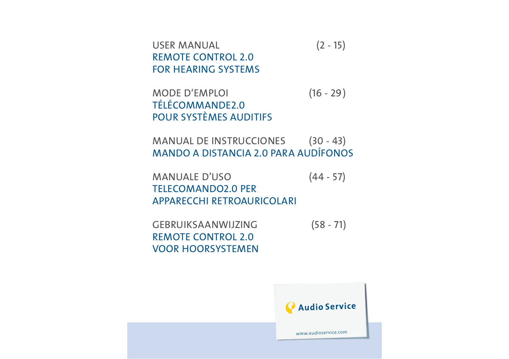USER MANUAL (2 - 15) REMOTE CONTROL 2.0 FOR HEARING SYSTEMS

MODE D'EMPLOI (16 - 29) TÉLÉCOMMANDE2.0 POUR SYSTÈMES AUDITIFS

MANUAL DE INSTRUCCIONES (30 - 43) MANDO A DISTANCIA 2.0 PARA AUDÍFONOS

MANUALE D'USO (44 - 57) TELECOMANDO2.0 PER APPARECCHI RETROAURICOLARI

GEBRUIKSAANWIJZING (58 - 71) REMOTE CONTROL 2.0 VOOR HOORSYSTEMEN

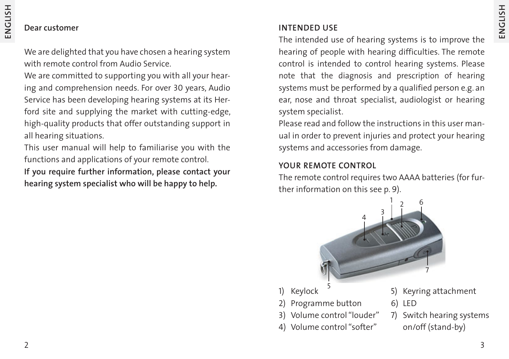#### **Dear customer**

We are delighted that you have chosen a hearing system with remote control from Audio Service.

We are committed to supporting you with all your hearing and comprehension needs. For over 30 years, Audio Service has been developing hearing systems at its Herford site and supplying the market with cutting-edge, high-quality products that offer outstanding support in all hearing situations.

This user manual will help to familiarise you with the functions and applications of your remote control.

**If you require further information, please contact your hearing system specialist who will be happy to help.**

#### **INTENDED USE**

The intended use of hearing systems is to improve the hearing of people with hearing difficulties. The remote control is intended to control hearing systems. Please note that the diagnosis and prescription of hearing systems must be performed by a qualified person e.g. an ear, nose and throat specialist, audiologist or hearing system specialist.

Please read and follow the instructions in this user manual in order to prevent injuries and protect your hearing systems and accessories from damage.

#### **YOUR REMOTE CONTROL**

The remote control requires two AAAA batteries (for further information on this see p. 9).



- 1) Keylock
- 2) Programme button
- 3) Volume control "louder"
- 4) Volume control "softer"
- 5) Keyring attachment
- 6) LED
- 7) Switch hearing systems on/off (stand-by)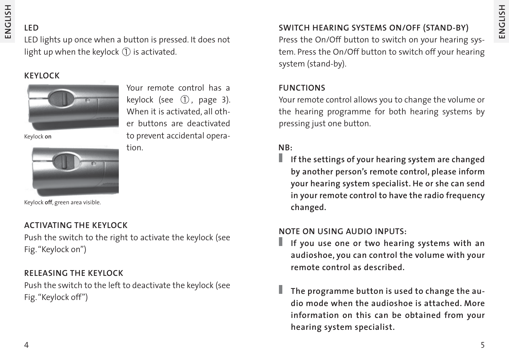#### **LED**

LED lights up once when a button is pressed. It does not light up when the keylock  $(1)$  is activated.

#### **KEYLOCK**



Your remote control has a keylock (see  $(1)$ , page 3). When it is activated, all other buttons are deactivated to prevent accidental operation.

Keylock **on**



Keylock **off**, green area visible.

#### **ACTIVATING THE KEYLOCK**

Push the switch to the right to activate the keylock (see Fig. "Keylock on")

#### **RELEASING THE KEYLOCK**

Push the switch to the left to deactivate the keylock (see Fig. "Keylock off")

#### **SWITCH HEARING SYSTEMS ON/OFF (STAND-BY)**

Press the On/Off button to switch on your hearing system. Press the On/Off button to switch off your hearing system (stand-by).

#### **FUNCTIONS**

Your remote control allows you to change the volume or the hearing programme for both hearing systems by pressing just one button.

#### **NB:**

**If the settings of your hearing system are changed by another person's remote control, please inform your hearing system specialist. He or she can send in your remote control to have the radio frequency changed.**

#### **NOTE ON USING AUDIO INPUTS:**

- П **If you use one or two hearing systems with an audioshoe, you can control the volume with your remote control as described.**
- **The programme button is used to change the audio mode when the audioshoe is attached. More information on this can be obtained from your hearing system specialist.**

**ENGLISH**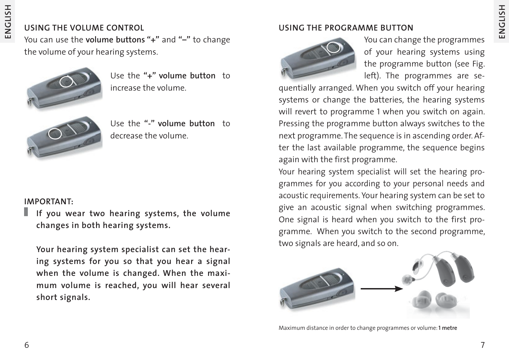#### **USING THE VOLUME CONTROL**

You can use the **volume buttons "+"** and **"–"** to change the volume of your hearing systems.



Use the **"+" volume button** to increase the volume.



Use the **"-" volume button** to decrease the volume.

#### **IMPORTANT:**

**If you wear two hearing systems, the volume changes in both hearing systems.**

**Your hearing system specialist can set the hearing systems for you so that you hear a signal when the volume is changed. When the maximum volume is reached, you will hear several short signals.**

#### **USING THE PROGRAMME BUTTON**



You can change the programmes of your hearing systems using the programme button (see Fig. left). The programmes are se-

quentially arranged. When you switch off your hearing systems or change the batteries, the hearing systems will revert to programme 1 when you switch on again. Pressing the programme button always switches to the next programme. The sequence is in ascending order. After the last available programme, the sequence begins again with the first programme.

Your hearing system specialist will set the hearing programmes for you according to your personal needs and acoustic requirements. Your hearing system can be set to give an acoustic signal when switching programmes. One signal is heard when you switch to the first programme. When you switch to the second programme, two signals are heard, and so on.



Maximum distance in order to change programmes or volume: **1 metre**

**ENGLISH**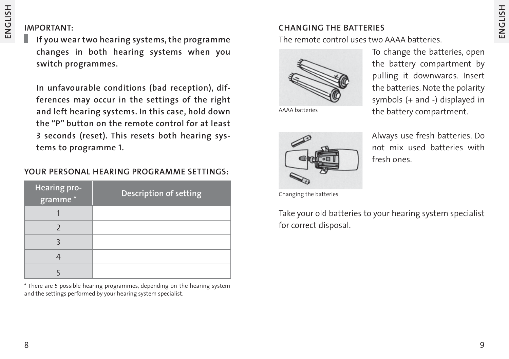#### **IMPORTANT:**

**If you wear two hearing systems, the programme changes in both hearing systems when you switch programmes.**

**In unfavourable conditions (bad reception), differences may occur in the settings of the right and left hearing systems. In this case, hold down the "P" button on the remote control for at least 3 seconds (reset). This resets both hearing systems to programme 1.**

#### **YOUR PERSONAL HEARING PROGRAMME SETTINGS:**

| Hearing pro-<br>* gramme | <b>Description of setting</b> |
|--------------------------|-------------------------------|
|                          |                               |
|                          |                               |
|                          |                               |
|                          |                               |
|                          |                               |

\* There are 5 possible hearing programmes, depending on the hearing system and the settings performed by your hearing system specialist.

#### **CHANGING THE BATTERIES**

The remote control uses two AAAA batteries.



To change the batteries, open the battery compartment by pulling it downwards. Insert the batteries. Note the polarity symbols (+ and -) displayed in AAAA batteries **the battery compartment.** 



Always use fresh batteries. Do not mix used batteries with fresh ones.

Changing the batteries

Take your old batteries to your hearing system specialist for correct disposal.

**ENGLISH**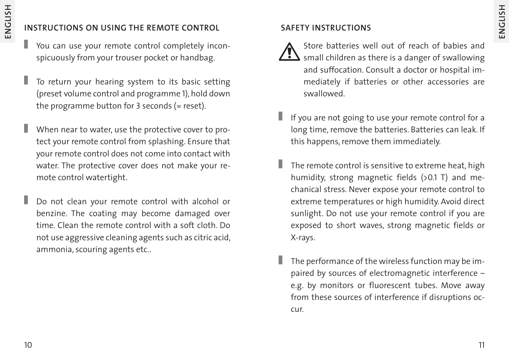#### **INSTRUCTIONS ON USING THE REMOTE CONTROL**

- You can use your remote control completely inconspicuously from your trouser pocket or handbag.
- Г To return your hearing system to its basic setting (preset volume control and programme 1), hold down the programme button for 3 seconds (= reset).
- ı When near to water, use the protective cover to protect your remote control from splashing. Ensure that your remote control does not come into contact with water. The protective cover does not make your remote control watertight.
- Г Do not clean your remote control with alcohol or benzine. The coating may become damaged over time. Clean the remote control with a soft cloth. Do not use aggressive cleaning agents such as citric acid, ammonia, scouring agents etc..

#### **SAFETY INSTRUCTIONS**

- Store batteries well out of reach of babies and  $\sum$  small children as there is a danger of swallowing and suffocation. Consult a doctor or hospital immediately if batteries or other accessories are swallowed.
- If you are not going to use your remote control for a long time, remove the batteries. Batteries can leak. If this happens, remove them immediately.
- The remote control is sensitive to extreme heat, high humidity, strong magnetic fields (>0.1 T) and mechanical stress. Never expose your remote control to extreme temperatures or high humidity. Avoid direct sunlight. Do not use your remote control if you are exposed to short waves, strong magnetic fields or X-rays.
- The performance of the wireless function may be impaired by sources of electromagnetic interference – e.g. by monitors or fluorescent tubes. Move away from these sources of interference if disruptions occur.

**ENGLISH**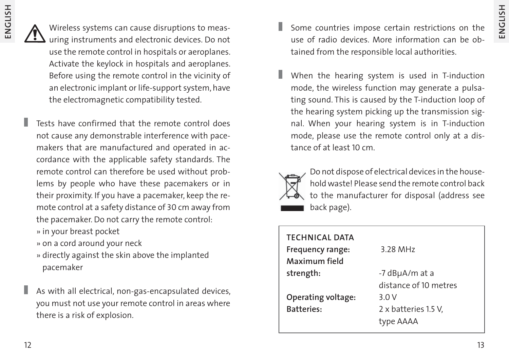Wireless systems can cause disruptions to measuring instruments and electronic devices. Do not use the remote control in hospitals or aeroplanes. Activate the keylock in hospitals and aeroplanes. Before using the remote control in the vicinity of an electronic implant or life-support system, have the electromagnetic compatibility tested.

- Tests have confirmed that the remote control does not cause any demonstrable interference with pacemakers that are manufactured and operated in accordance with the applicable safety standards. The remote control can therefore be used without problems by people who have these pacemakers or in their proximity. If you have a pacemaker, keep the remote control at a safety distance of 30 cm away from the pacemaker. Do not carry the remote control:
	- » in your breast pocket
	- » on a cord around your neck
	- » directly against the skin above the implanted pacemaker
- As with all electrical, non-gas-encapsulated devices, you must not use your remote control in areas where there is a risk of explosion.
- Some countries impose certain restrictions on the use of radio devices. More information can be obtained from the responsible local authorities.
- When the hearing system is used in T-induction mode, the wireless function may generate a pulsating sound. This is caused by the T-induction loop of the hearing system picking up the transmission signal. When your hearing system is in T-induction mode, please use the remote control only at a distance of at least 10 cm.



Do not dispose of electrical devices in the household waste! Please send the remote control back to the manufacturer for disposal (address see back page).

| <b>TECHNICAL DATA</b><br>Frequency range:<br>Maximum field | 3.28 MHz                                |
|------------------------------------------------------------|-----------------------------------------|
| strength:                                                  | -7 dBµA/m at a<br>distance of 10 metres |
| Operating voltage:<br><b>Batteries:</b>                    | 3.0 V<br>2 x batteries 1.5 V,           |
|                                                            | type AAAA                               |

**ENGLISH**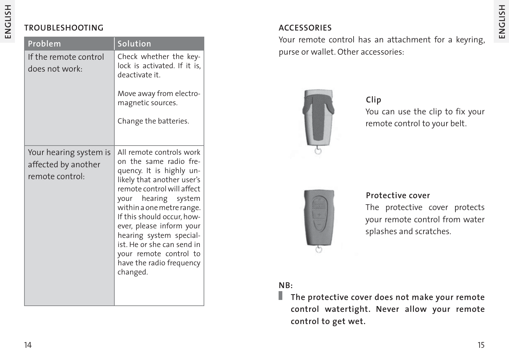#### **TROUBLESHOOTING**

| <b>Problem</b>                                                   | <b>Solution</b>                                                                                                                                                                                                                                                                                                                                                                     |
|------------------------------------------------------------------|-------------------------------------------------------------------------------------------------------------------------------------------------------------------------------------------------------------------------------------------------------------------------------------------------------------------------------------------------------------------------------------|
| If the remote control<br>does not work:                          | Check whether the key-<br>lock is activated. If it is,<br>deactivate it.                                                                                                                                                                                                                                                                                                            |
|                                                                  | Move away from electro-<br>magnetic sources.                                                                                                                                                                                                                                                                                                                                        |
|                                                                  | Change the batteries.                                                                                                                                                                                                                                                                                                                                                               |
| Your hearing system is<br>affected by another<br>remote control: | All remote controls work<br>on the same radio fre-<br>quency. It is highly un-<br>likely that another user's<br>remote control will affect<br>your hearing system<br>within a one metre range.<br>If this should occur, how-<br>ever, please inform your<br>hearing system special-<br>ist. He or she can send in<br>your remote control to<br>have the radio frequency<br>changed. |

#### **ACCESSORIES**

Your remote control has an attachment for a keyring, purse or wallet. Other accessories:



You can use the clip to fix your remote control to your belt. **Clip**



#### **Protective cover**

The protective cover protects your remote control from water splashes and scratches.

#### **NB:**

**The protective cover does not make your remote control watertight. Never allow your remote control to get wet.**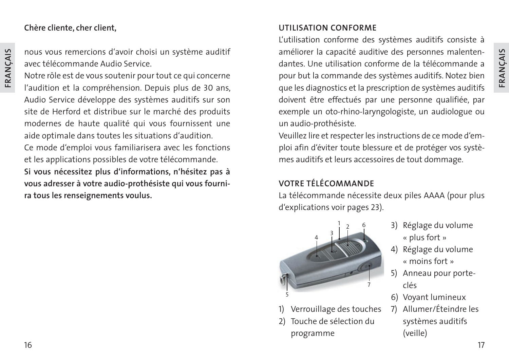## **FRANÇAIS**

#### **Chère cliente, cher client,**

**FRANÇAIS**

nous vous remercions d'avoir choisi un système auditif avec télécommande Audio Service.

Notre rôle est de vous soutenir pour tout ce qui concerne l'audition et la compréhension. Depuis plus de 30 ans, Audio Service développe des systèmes auditifs sur son site de Herford et distribue sur le marché des produits modernes de haute qualité qui vous fournissent une aide optimale dans toutes les situations d'audition.

Ce mode d'emploi vous familiarisera avec les fonctions et les applications possibles de votre télécommande. **Si vous nécessitez plus d'informations, n'hésitez pas à vous adresser à votre audio-prothésiste qui vous fournira tous les renseignements voulus.**

#### **UTILISATION CONFORME**

L'utilisation conforme des systèmes auditifs consiste à améliorer la capacité auditive des personnes malentendantes. Une utilisation conforme de la télécommande a pour but la commande des systèmes auditifs. Notez bien que les diagnostics et la prescription de systèmes auditifs doivent être effectués par une personne qualifiée, par exemple un oto-rhino-laryngologiste, un audiologue ou un audio-prothésiste.

Veuillez lire et respecter les instructions de ce mode d'emploi afin d'éviter toute blessure et de protéger vos systèmes auditifs et leurs accessoires de tout dommage.

#### **VOTRE TÉLÉCOMMANDE**

La télécommande nécessite deux piles AAAA (pour plus d'explications voir pages 23).



- Verrouillage des touches
- 2) Touche de sélection du programme
- 3) Réglage du volume « plus fort »
- 4) Réglage du volume « moins fort »
- 5) Anneau pour porte clés
- 6) Voyant lumineux
- 7) Allumer/Éteindre les systèmes auditifs (veille)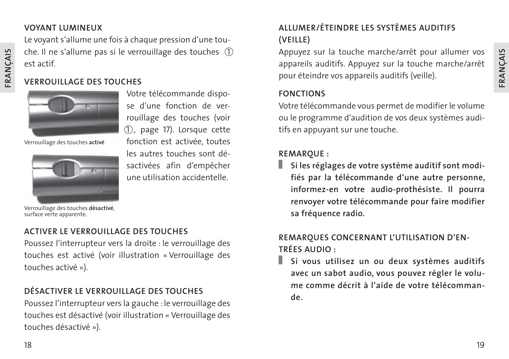#### **VOYANT LUMINEUX**

Le voyant s'allume une fois à chaque pression d'une touche. Il ne s'allume pas si le verrouillage des touches  $(1)$ est actif.

#### **VERROUILLAGE DES TOUCHES**



Verrouillage des touches **activé**



Votre télécommande dispose d'une fonction de verrouillage des touches (voir 1), page 17). Lorsque cette fonction est activée, toutes les autres touches sont désactivées afin d'empêcher une utilisation accidentelle.

Verrouillage des touches **désactivé**, surface verte apparente.

#### **ACTIVER LE VERROUILLAGE DES TOUCHES**

Poussez l'interrupteur vers la droite : le verrouillage des touches est activé (voir illustration « Verrouillage des touches activé »).

#### **DÉSACTIVER LE VERROUILLAGE DES TOUCHES**

Poussez l'interrupteur vers la gauche : le verrouillage des touches est désactivé (voir illustration « Verrouillage des touches désactivé »).

#### **ALLUMER/ÉTEINDRE LES SYSTÈMES AUDITIFS (VEILLE)**

Appuyez sur la touche marche/arrêt pour allumer vos appareils auditifs. Appuyez sur la touche marche/arrêt pour éteindre vos appareils auditifs (veille).

#### **FONCTIONS**

Votre télécommande vous permet de modifier le volume ou le programme d'audition de vos deux systèmes auditifs en appuyant sur une touche.

#### **REMARQUE :**

**Si les réglages de votre système auditif sont modifiés par la télécommande d'une autre personne, informez-en votre audio-prothésiste. Il pourra renvoyer votre télécommande pour faire modifier sa fréquence radio.**

#### **REMARQUES CONCERNANT L'UTILISATION D'EN-TRÉES AUDIO :**

**Si vous utilisez un ou deux systèmes auditifs avec un sabot audio, vous pouvez régler le volume comme décrit à l'aide de votre télécommande.**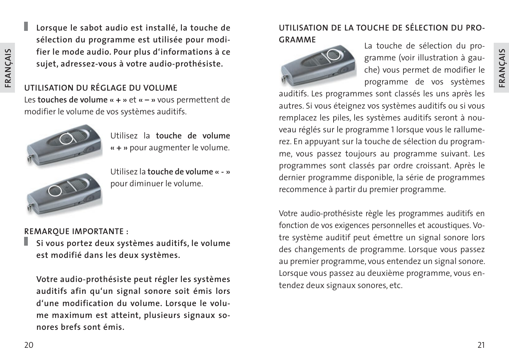I. **Lorsque le sabot audio est installé, la touche de sélection du programme est utilisée pour modifier le mode audio. Pour plus d'informations à ce sujet, adressez-vous à votre audio-prothésiste.**

#### **UTILISATION DU RÉGLAGE DU VOLUME**

Les **touches de volume « + »** et **« – »** vous permettent de modifier le volume de vos systèmes auditifs.



Utilisez la **touche de volume « + »** pour augmenter le volume.



Utilisez la **touche de volume « - »** pour diminuer le volume.

#### **REMARQUE IMPORTANTE :**

**Si vous portez deux systèmes auditifs, le volume est modifié dans les deux systèmes.**

**Votre audio-prothésiste peut régler les systèmes auditifs afin qu'un signal sonore soit émis lors d'une modification du volume. Lorsque le volume maximum est atteint, plusieurs signaux sonores brefs sont émis.**

#### **UTILISATION DE LA TOUCHE DE SÉLECTION DU PRO-GRAMME** La touche de sélection du pro-



gramme (voir illustration à gauche) vous permet de modifier le programme de vos systèmes

auditifs. Les programmes sont classés les uns après les autres. Si vous éteignez vos systèmes auditifs ou si vous remplacez les piles, les systèmes auditifs seront à nouveau réglés sur le programme 1 lorsque vous le rallumerez. En appuyant sur la touche de sélection du programme, vous passez toujours au programme suivant. Les programmes sont classés par ordre croissant. Après le dernier programme disponible, la série de programmes recommence à partir du premier programme.

Votre audio-prothésiste règle les programmes auditifs en fonction de vos exigences personnelles et acoustiques. Votre système auditif peut émettre un signal sonore lors des changements de programme. Lorsque vous passez au premier programme, vous entendez un signal sonore. Lorsque vous passez au deuxième programme, vous entendez deux signaux sonores, etc.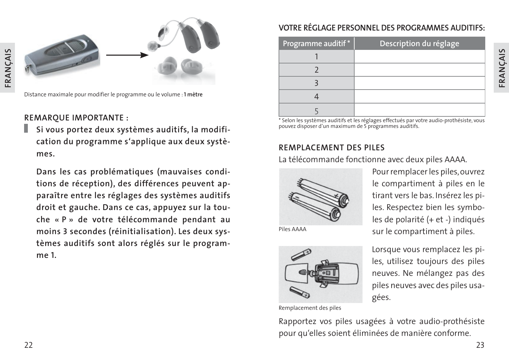

Distance maximale pour modifier le programme ou le volume : **1 mètre**

#### **REMARQUE IMPORTANTE :**

**Si vous portez deux systèmes auditifs, la modification du programme s'applique aux deux systèmes.**

**Dans les cas problématiques (mauvaises conditions de réception), des différences peuvent apparaître entre les réglages des systèmes auditifs droit et gauche. Dans ce cas, appuyez sur la touche « P » de votre télécommande pendant au moins 3 secondes (réinitialisation). Les deux systèmes auditifs sont alors réglés sur le programme 1.**

#### **VOTRE RÉGLAGE PERSONNEL DES PROGRAMMES AUDITIFS:**

| Programme auditif* | Description du réglage |
|--------------------|------------------------|
|                    |                        |
|                    |                        |
|                    |                        |
|                    |                        |
|                    |                        |

\* Selon les systèmes auditifs et les réglages effectués par votre audio-prothésiste, vous pouvez disposer d'un maximum de 5 programmes auditifs.

#### **REMPLACEMENT DES PILES**

La télécommande fonctionne avec deux piles AAAA.



Pour remplacer les piles, ouvrez le compartiment à piles en le tirant vers le bas. Insérez les piles. Respectez bien les symboles de polarité (+ et -) indiqués Piles AAAA sur le compartiment à piles.



Lorsque vous remplacez les piles, utilisez toujours des piles neuves. Ne mélangez pas des piles neuves avec des piles usagées.

Remplacement des piles

Rapportez vos piles usagées à votre audio-prothésiste pour qu'elles soient éliminées de manière conforme.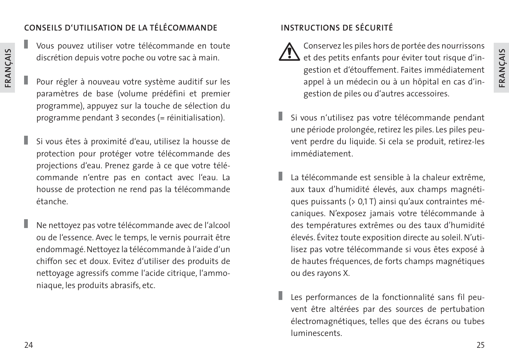#### **CONSEILS D'UTILISATION DE LA TÉLÉCOMMANDE**

Vous pouvez utiliser votre télécommande en toute discrétion depuis votre poche ou votre sac à main.

- Pour régler à nouveau votre système auditif sur les paramètres de base (volume prédéfini et premier programme), appuyez sur la touche de sélection du programme pendant 3 secondes (= réinitialisation).
- Si vous êtes à proximité d'eau, utilisez la housse de protection pour protéger votre télécommande des projections d'eau. Prenez garde à ce que votre télécommande n'entre pas en contact avec l'eau. La housse de protection ne rend pas la télécommande étanche.
- Ne nettoyez pas votre télécommande avec de l'alcool ou de l'essence. Avec le temps, le vernis pourrait être endommagé. Nettoyez la télécommande à l'aide d'un chiffon sec et doux. Evitez d'utiliser des produits de nettoyage agressifs comme l'acide citrique, l'ammoniaque, les produits abrasifs, etc.

#### **INSTRUCTIONS DE SÉCURITÉ**



Conservez les piles hors de portée des nourrissons  $\sum$  et des petits enfants pour éviter tout risque d'ingestion et d'étouffement. Faites immédiatement appel à un médecin ou à un hôpital en cas d'ingestion de piles ou d'autres accessoires.

- Si vous n'utilisez pas votre télécommande pendant une période prolongée, retirez les piles. Les piles peuvent perdre du liquide. Si cela se produit, retirez-les immédiatement.
- La télécommande est sensible à la chaleur extrême, aux taux d'humidité élevés, aux champs magnétiques puissants (> 0,1 T) ainsi qu'aux contraintes mécaniques. N'exposez jamais votre télécommande à des températures extrêmes ou des taux d'humidité élevés. Évitez toute exposition directe au soleil. N'utilisez pas votre télécommande si vous êtes exposé à de hautes fréquences, de forts champs magnétiques ou des rayons X.
- Les performances de la fonctionnalité sans fil peuvent être altérées par des sources de pertubation électromagnétiques, telles que des écrans ou tubes luminescents.

Г

**FRANÇAIS**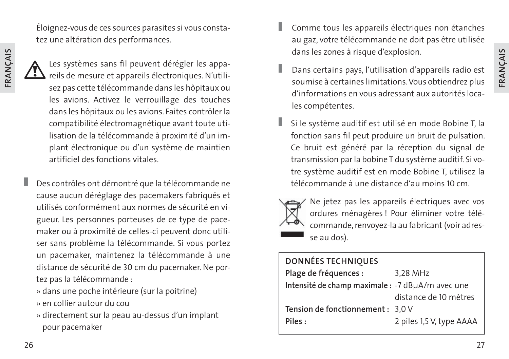Éloignez-vous de ces sources parasites si vous constatez une altération des performances.



ı

Les systèmes sans fil peuvent dérégler les appareils de mesure et appareils électroniques. N'utilisez pas cette télécommande dans les hôpitaux ou les avions. Activez le verrouillage des touches dans les hôpitaux ou les avions. Faites contrôler la compatibilité électromagnétique avant toute utilisation de la télécommande à proximité d'un implant électronique ou d'un système de maintien artificiel des fonctions vitales.

Des contrôles ont démontré que la télécommande ne cause aucun déréglage des pacemakers fabriqués et utilisés conformément aux normes de sécurité en vigueur. Les personnes porteuses de ce type de pacemaker ou à proximité de celles-ci peuvent donc utiliser sans problème la télécommande. Si vous portez un pacemaker, maintenez la télécommande à une distance de sécurité de 30 cm du pacemaker. Ne portez pas la télécommande :

» dans une poche intérieure (sur la poitrine) » en collier autour du cou

» directement sur la peau au-dessus d'un implant pour pacemaker

- Comme tous les appareils électriques non étanches au gaz, votre télécommande ne doit pas être utilisée dans les zones à risque d'explosion.
- Dans certains pays, l'utilisation d'appareils radio est soumise à certaines limitations. Vous obtiendrez plus d'informations en vous adressant aux autorités locales compétentes.
- Si le système auditif est utilisé en mode Bobine T, la fonction sans fil peut produire un bruit de pulsation. Ce bruit est généré par la réception du signal de transmission par la bobine T du système auditif. Si votre système auditif est en mode Bobine T, utilisez la télécommande à une distance d'au moins 10 cm.



Ne jetez pas les appareils électriques avec vos ordures ménagères ! Pour éliminer votre télécommande, renvoyez-la au fabricant (voir adresse au dos).

| <b>DONNÉES TECHNIQUES</b>                         |                          |
|---------------------------------------------------|--------------------------|
| Plage de fréquences :                             | 3,28 MHz                 |
| Intensité de champ maximale : - 7 dBµA/m avec une |                          |
|                                                   | distance de 10 mètres    |
| Tension de fonctionnement : 3,0 V                 |                          |
| Piles:                                            | 2 piles 1,5 V, type AAAA |
|                                                   |                          |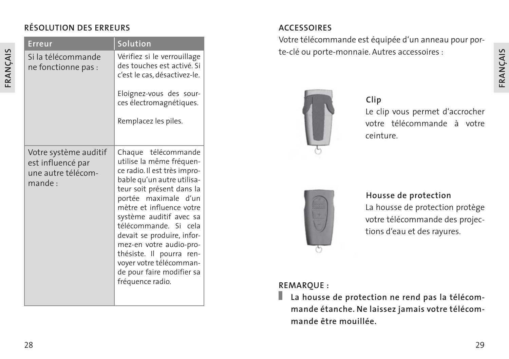#### **RÉSOLUTION DES ERREURS**

| Erreur                                                                         | Solution                                                                                                                                                                                                                                                                                                                                                                                                            |
|--------------------------------------------------------------------------------|---------------------------------------------------------------------------------------------------------------------------------------------------------------------------------------------------------------------------------------------------------------------------------------------------------------------------------------------------------------------------------------------------------------------|
| Si la télécommande<br>ne fonctionne pas :                                      | Vérifiez si le verrouillage<br>des touches est activé. Si<br>c'est le cas, désactivez-le.<br>Eloignez-vous des sour-                                                                                                                                                                                                                                                                                                |
|                                                                                | ces électromagnétiques.                                                                                                                                                                                                                                                                                                                                                                                             |
|                                                                                | Remplacez les piles.                                                                                                                                                                                                                                                                                                                                                                                                |
| Votre système auditif<br>est influencé par<br>une autre télécom-<br>$m$ ande : | Chaque télécommande<br>utilise la même fréquen-<br>ce radio. Il est très impro-<br>bable qu'un autre utilisa-<br>teur soit présent dans la<br>portée maximale d'un<br>mètre et influence votre<br>système auditif avec sa<br>télécommande. Si cela<br>devait se produire, infor-<br>mez-en votre audio-pro-<br>thésiste. Il pourra ren-<br>voyer votre télécomman-<br>de pour faire modifier sa<br>fréquence radio. |

#### **ACCESSOIRES**

Votre télécommande est équipée d'un anneau pour porte-clé ou porte-monnaie. Autres accessoires :



#### **Clip**

Le clip vous permet d'accrocher votre télécommande à votre ceinture.



#### **Housse de protection**

La housse de protection protège votre télécommande des projections d'eau et des rayures.

#### **REMARQUE :**

**La housse de protection ne rend pas la télécommande étanche. Ne laissez jamais votre télécommande être mouillée.**

**FRANÇAIS**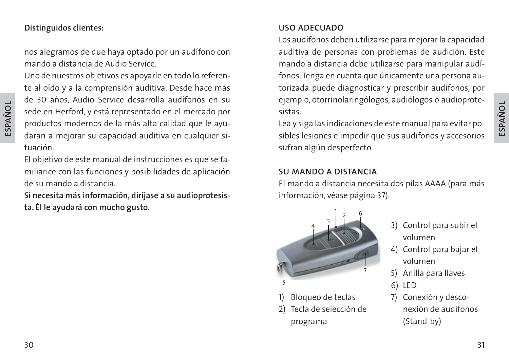#### **Distinguidos clientes:**

nos alegramos de que haya optado por un audífono con mando a distancia de Audio Service.

Uno de nuestros objetivos es apoyarle en todo lo referente al oído y a la comprensión auditiva. Desde hace más de 30 años, Audio Service desarrolla audífonos en su sede en Herford, y está representado en el mercado por productos modernos de la más alta calidad que le ayudarán a mejorar su capacidad auditiva en cualquier situación.

El objetivo de este manual de instrucciones es que se familiarice con las funciones y posibilidades de aplicación de su mando a distancia.

**Si necesita más información, diríjase a su audioprotesista. Él le ayudará con mucho gusto.**

#### **USO ADECUADO**

Los audífonos deben utilizarse para mejorar la capacidad auditiva de personas con problemas de audición. Este mando a distancia debe utilizarse para manipular audífonos. Tenga en cuenta que únicamente una persona autorizada puede diagnosticar y prescribir audífonos, por ejemplo, otorrinolaringólogos, audiólogos o audioprotesistas.

Lea y siga las indicaciones de este manual para evitar posibles lesiones e impedir que sus audífonos y accesorios sufran algún desperfecto.

#### **SU MANDO A DISTANCIA**

El mando a distancia necesita dos pilas AAAA (para más información, véase página 37).



- Bloqueo de teclas
- 2) Tecla de selección de programa
- 3) Control para subir el volumen
- 4) Control para bajar el volumen
- 5) Anilla para llaves
- 6) LED
- 7) Conexión y desconexión de audífonos (Stand-by)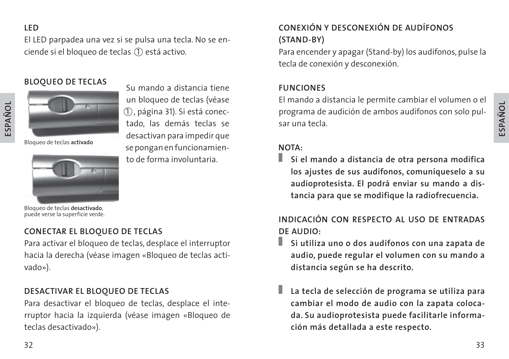#### **LED**

**ESPAÑOL**

El LED parpadea una vez si se pulsa una tecla. No se enciende si el bloqueo de teclas (1) está activo.

> un bloqueo de teclas (véase 1 , página 31). Si está conectado, las demás teclas se desactivan para impedir que se pongan en funcionamiento de forma involuntaria.

#### **BLOQUEO DE TECLAS** Su mando a distancia tiene



Bloqueo de teclas **activado**



Bloqueo de teclas **desactivado**, puede verse la superficie verde.

#### **CONECTAR EL BLOQUEO DE TECLAS**

Para activar el bloqueo de teclas, desplace el interruptor hacia la derecha (véase imagen «Bloqueo de teclas activado»).

#### **DESACTIVAR EL BLOQUEO DE TECLAS**

Para desactivar el bloqueo de teclas, desplace el interruptor hacia la izquierda (véase imagen «Bloqueo de teclas desactivado»).

#### **CONEXIÓN Y DESCONEXIÓN DE AUDÍFONOS (STAND-BY)**

Para encender y apagar (Stand-by) los audífonos, pulse la tecla de conexión y desconexión.

#### **FUNCIONES**

El mando a distancia le permite cambiar el volumen o el programa de audición de ambos audífonos con solo pulsar una tecla.

#### **NOTA:**

**Si el mando a distancia de otra persona modifica los ajustes de sus audífonos, comuníqueselo a su audioprotesista. El podrá enviar su mando a distancia para que se modifique la radiofrecuencia.**

**INDICACIÓN CON RESPECTO AL USO DE ENTRADAS DE AUDIO:**

- H. **Si utiliza uno o dos audífonos con una zapata de audio, puede regular el volumen con su mando a distancia según se ha descrito.**
- **La tecla de selección de programa se utiliza para cambiar el modo de audio con la zapata colocada. Su audioprotesista puede facilitarle información más detallada a este respecto.**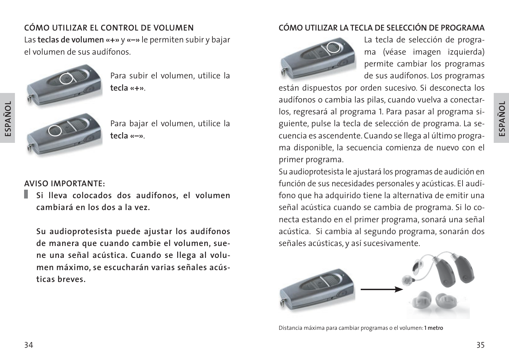# **ESPAÑOL**

#### **CÓMO UTILIZAR EL CONTROL DE VOLUMEN**

Las **teclas de volumen «+»** y **«–»** le permiten subir y bajar el volumen de sus audífonos.



**ESPAÑOL**

Para subir el volumen, utilice la **tecla «+»**.

Para bajar el volumen, utilice la **tecla «–»**.

#### **AVISO IMPORTANTE:**

**Si lleva colocados dos audífonos, el volumen cambiará en los dos a la vez.**

**Su audioprotesista puede ajustar los audífonos de manera que cuando cambie el volumen, suene una señal acústica. Cuando se llega al volumen máximo, se escucharán varias señales acústicas breves.**

#### **CÓMO UTILIZAR LA TECLA DE SELECCIÓN DE PROGRAMA**



La tecla de selección de programa (véase imagen izquierda) permite cambiar los programas de sus audífonos. Los programas

están dispuestos por orden sucesivo. Si desconecta los audífonos o cambia las pilas, cuando vuelva a conectarlos, regresará al programa 1. Para pasar al programa siguiente, pulse la tecla de selección de programa. La secuencia es ascendente. Cuando se llega al último programa disponible, la secuencia comienza de nuevo con el primer programa.

Su audioprotesista le ajustará los programas de audición en función de sus necesidades personales y acústicas. El audífono que ha adquirido tiene la alternativa de emitir una señal acústica cuando se cambia de programa. Si lo conecta estando en el primer programa, sonará una señal acústica. Si cambia al segundo programa, sonarán dos señales acústicas, y así sucesivamente.



Distancia máxima para cambiar programas o el volumen: **1 metro**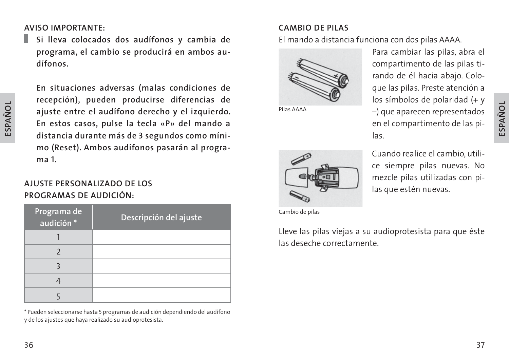**AVISO IMPORTANTE:**

п **Si lleva colocados dos audífonos y cambia de programa, el cambio se producirá en ambos audífonos.**

**En situaciones adversas (malas condiciones de recepción), pueden producirse diferencias de ajuste entre el audífono derecho y el izquierdo. En estos casos, pulse la tecla «P» del mando a distancia durante más de 3 segundos como mínimo (Reset). Ambos audífonos pasarán al programa 1.**

#### **AJUSTE PERSONALIZADO DE LOS PROGRAMAS DE AUDICIÓN:**

| Programa de<br>audición * | Descripción del ajuste |
|---------------------------|------------------------|
|                           |                        |
|                           |                        |
|                           |                        |
|                           |                        |
|                           |                        |

\* Pueden seleccionarse hasta 5 programas de audición dependiendo del audífono y de los ajustes que haya realizado su audioprotesista.

#### **CAMBIO DE PILAS**

El mando a distancia funciona con dos pilas AAAA.



Pilas AAAA

Para cambiar las pilas, abra el compartimento de las pilas tirando de él hacia abajo. Coloque las pilas. Preste atención a los símbolos de polaridad (+ y –) que aparecen representados en el compartimento de las pilas.



Cuando realice el cambio, utilice siempre pilas nuevas. No mezcle pilas utilizadas con pilas que estén nuevas.

Cambio de pilas

Lleve las pilas viejas a su audioprotesista para que éste las deseche correctamente.

**ESPAÑOL**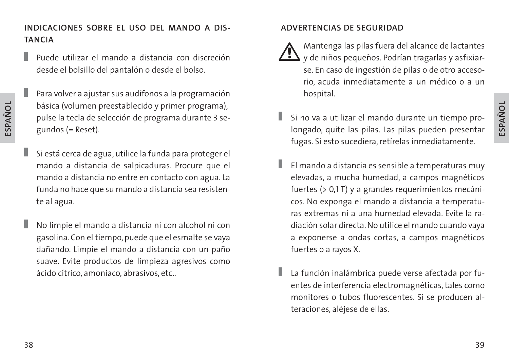#### **INDICACIONES SOBRE EL USO DEL MANDO A DIS-TANCIA**

- I. Puede utilizar el mando a distancia con discreción desde el bolsillo del pantalón o desde el bolso.
- Para volver a ajustar sus audífonos a la programación básica (volumen preestablecido y primer programa), pulse la tecla de selección de programa durante 3 segundos (= Reset).
- ı Si está cerca de agua, utilice la funda para proteger el mando a distancia de salpicaduras. Procure que el mando a distancia no entre en contacto con agua. La funda no hace que su mando a distancia sea resistente al agua.
	- No limpie el mando a distancia ni con alcohol ni con gasolina. Con el tiempo, puede que el esmalte se vaya dañando. Limpie el mando a distancia con un paño suave. Evite productos de limpieza agresivos como ácido cítrico, amoniaco, abrasivos, etc..

#### **ADVERTENCIAS DE SEGURIDAD**

- Mantenga las pilas fuera del alcance de lactantes y de niños pequeños. Podrían tragarlas y asfixiarse. En caso de ingestión de pilas o de otro accesorio, acuda inmediatamente a un médico o a un hospital.
- Si no va a utilizar el mando durante un tiempo prolongado, quite las pilas. Las pilas pueden presentar fugas. Si esto sucediera, retírelas inmediatamente.
- El mando a distancia es sensible a temperaturas muy elevadas, a mucha humedad, a campos magnéticos fuertes (> 0,1 T) y a grandes requerimientos mecánicos. No exponga el mando a distancia a temperaturas extremas ni a una humedad elevada. Evite la radiación solar directa. No utilice el mando cuando vaya a exponerse a ondas cortas, a campos magnéticos fuertes o a rayos X.
- La función inalámbrica puede verse afectada por fuentes de interferencia electromagnéticas, tales como monitores o tubos fluorescentes. Si se producen alteraciones, aléjese de ellas.

I

**ESPAÑOL**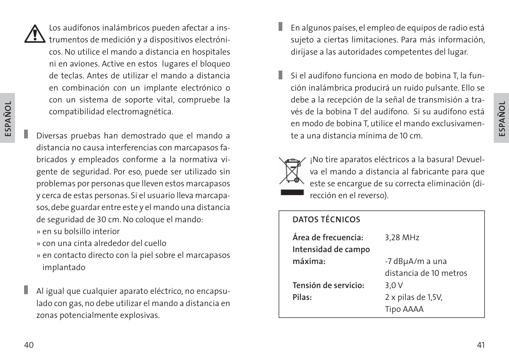

**ESPAÑOL**

Los audífonos inalámbricos pueden afectar a ins- $\sum$  trumentos de medición y a dispositivos electrónicos. No utilice el mando a distancia en hospitales ni en aviones. Active en estos lugares el bloqueo de teclas. Antes de utilizar el mando a distancia en combinación con un implante electrónico o con un sistema de soporte vital, compruebe la compatibilidad electromagnética.

- Diversas pruebas han demostrado que el mando a distancia no causa interferencias con marcapasos fabricados y empleados conforme a la normativa vigente de seguridad. Por eso, puede ser utilizado sin problemas por personas que lleven estos marcapasos y cerca de estas personas. Si el usuario lleva marcapasos, debe guardar entre este y el mando una distancia de seguridad de 30 cm. No coloque el mando:
- » en su bolsillo interior
- » con una cinta alrededor del cuello
- » en contacto directo con la piel sobre el marcapasos implantado
- Al igual que cualquier aparato eléctrico, no encapsulado con gas, no debe utilizar el mando a distancia en zonas potencialmente explosivas.
- En algunos países, el empleo de equipos de radio está sujeto a ciertas limitaciones. Para más información, diríjase a las autoridades competentes del lugar.
- Si el audífono funciona en modo de bobina T, la función inalámbrica producirá un ruido pulsante. Ello se debe a la recepción de la señal de transmisión a través de la bobina T del audífono. Si su audífono está en modo de bobina T, utilice el mando exclusivamente a una distancia mínima de 10 cm.



¡No tire aparatos eléctricos a la basura! Devuelva el mando a distancia al fabricante para que este se encargue de su correcta eliminación (dirección en el reverso).

#### **DATOS TÉCNICOS**

| Área de frecuencia:  | 3,28 MHz               |
|----------------------|------------------------|
| Intensidad de campo  |                        |
| máxima:              | -7 dBµA/m a una        |
|                      | distancia de 10 metros |
| Tensión de servicio: | 3.0V                   |
| Pilas:               | 2 x pilas de 1,5V,     |
|                      | Tipo AAAA              |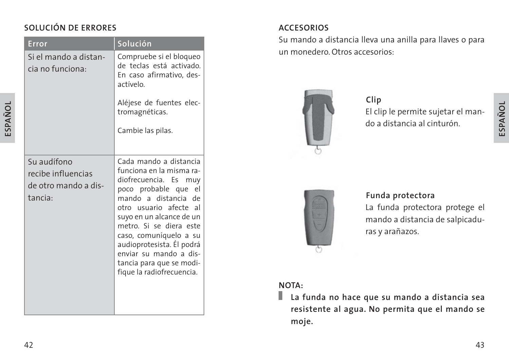#### **SOLUCIÓN DE ERRORES**

| Error                                                                | Solución                                                                                                                                                                                                                                                                                                                                                     |
|----------------------------------------------------------------------|--------------------------------------------------------------------------------------------------------------------------------------------------------------------------------------------------------------------------------------------------------------------------------------------------------------------------------------------------------------|
| Si el mando a distan-<br>cia no funciona:                            | Compruebe si el bloqueo<br>de teclas está activado.<br>En caso afirmativo, des-<br>actívelo.<br>Aléjese de fuentes elec-<br>tromagnéticas.<br>Cambie las pilas.                                                                                                                                                                                              |
| Su audífono<br>recibe influencias<br>de otro mando a dis-<br>tancia: | Cada mando a distancia<br>funciona en la misma ra-<br>diofrecuencia. Es muy<br>poco probable que<br>el<br>mando a distancia<br>de<br>otro usuario afecte al<br>suyo en un alcance de un<br>metro. Si se diera este<br>caso, comuníquelo a su<br>audioprotesista. Él podrá<br>enviar su mando a dis-<br>tancia para que se modi-<br>fique la radiofrecuencia. |

#### **ACCESORIOS**

Su mando a distancia lleva una anilla para llaves o para un monedero. Otros accesorios:



El clip le permite sujetar el mando a distancia al cinturón. **Clip**



#### **Funda protectora**

La funda protectora protege el mando a distancia de salpicaduras y arañazos.

#### **NOTA:**

**La funda no hace que su mando a distancia sea resistente al agua. No permita que el mando se moje.**

**ESPAÑOL**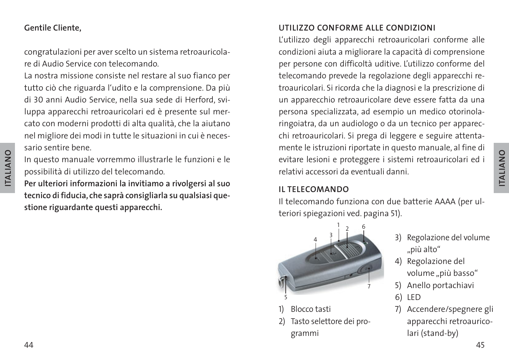#### **Gentile Cliente,**

congratulazioni per aver scelto un sistema retroauricolare di Audio Service con telecomando.

La nostra missione consiste nel restare al suo fianco per tutto ciò che riguarda l'udito e la comprensione. Da più di 30 anni Audio Service, nella sua sede di Herford, sviluppa apparecchi retroauricolari ed è presente sul mercato con moderni prodotti di alta qualità, che la aiutano nel migliore dei modi in tutte le situazioni in cui è necessario sentire bene.

In questo manuale vorremmo illustrarle le funzioni e le possibilità di utilizzo del telecomando.

**Per ulteriori informazioni la invitiamo a rivolgersi al suo tecnico di fiducia, che saprà consigliarla su qualsiasi questione riguardante questi apparecchi.**

#### **UTILIZZO CONFORME ALLE CONDIZIONI**

L'utilizzo degli apparecchi retroauricolari conforme alle condizioni aiuta a migliorare la capacità di comprensione per persone con difficoltà uditive. L'utilizzo conforme del telecomando prevede la regolazione degli apparecchi retroauricolari. Si ricorda che la diagnosi e la prescrizione di un apparecchio retroauricolare deve essere fatta da una persona specializzata, ad esempio un medico otorinolaringoiatra, da un audiologo o da un tecnico per apparecchi retroauricolari. Si prega di leggere e seguire attentamente le istruzioni riportate in questo manuale, al fine di evitare lesioni e proteggere i sistemi retroauricolari ed i relativi accessori da eventuali danni.

#### **IL TELECOMANDO**

Il telecomando funziona con due batterie AAAA (per ulteriori spiegazioni ved. pagina 51).



- 1) Blocco tasti
- 2) Tasto selettore dei programmi
- 3) Regolazione del volume "più alto"
- 4) Regolazione del volume "più basso"
- 5) Anello portachiavi
- 6) LED
- 7) Accendere/spegnere gli apparecchi retroauricolari (stand-by)

**ITALIANO**

**ITALIANO**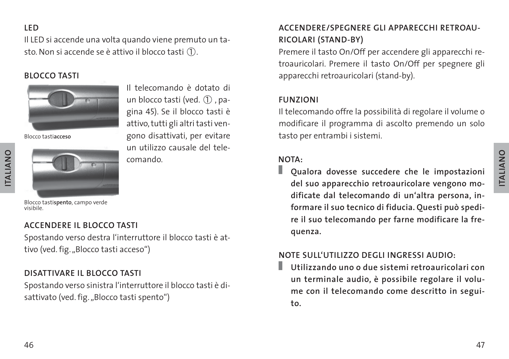#### **LED**

Il LED si accende una volta quando viene premuto un tasto. Non si accende se è attivo il blocco tasti  $(1)$ .

#### **BLOCCO TASTI**



Blocco tasti**acceso**



Il telecomando è dotato di un blocco tasti (ved.  $(1)$ , pagina 45). Se il blocco tasti è attivo, tutti gli altri tasti vengono disattivati, per evitare un utilizzo causale del telecomando.

#### Blocco tasti**spento**, campo verde visibile.

#### **ACCENDERE IL BLOCCO TASTI**

Spostando verso destra l'interruttore il blocco tasti è attivo (ved. fig. "Blocco tasti acceso")

#### **DISATTIVARE IL BLOCCO TASTI**

Spostando verso sinistra l'interruttore il blocco tasti è disattivato (ved. fig. "Blocco tasti spento")

#### **ACCENDERE/SPEGNERE GLI APPARECCHI RETROAU-RICOLARI (STAND-BY)**

Premere il tasto On/Off per accendere gli apparecchi retroauricolari. Premere il tasto On/Off per spegnere gli apparecchi retroauricolari (stand-by).

#### **FUNZIONI**

Il telecomando offre la possibilità di regolare il volume o modificare il programma di ascolto premendo un solo tasto per entrambi i sistemi.

#### **NOTA:**

ш **Qualora dovesse succedere che le impostazioni del suo apparecchio retroauricolare vengono modificate dal telecomando di un'altra persona, informare il suo tecnico di fiducia. Questi può spedire il suo telecomando per farne modificare la frequenza.**

#### **NOTE SULL'UTILIZZO DEGLI INGRESSI AUDIO:**

**Utilizzando uno o due sistemi retroauricolari con**  ш **un terminale audio, è possibile regolare il volume con il telecomando come descritto in seguito.**

**ITALIANO**

**ITALIANO**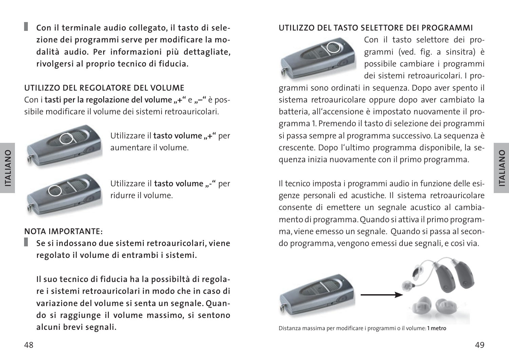**ITALIANO**

**ITALIANO** 

п **Con il terminale audio collegato, il tasto di selezione dei programmi serve per modificare la modalità audio. Per informazioni più dettagliate, rivolgersi al proprio tecnico di fiducia.**

#### **UTILIZZO DEL REGOLATORE DEL VOLUME**

Con i tasti per la regolazione del volume "+" e "-" è possibile modificare il volume dei sistemi retroauricolari.



Utilizzare il **tasto volume** "-" per

#### **NOTA IMPORTANTE:**

**Se si indossano due sistemi retroauricolari, viene regolato il volume di entrambi i sistemi.**

ridurre il volume.

**Il suo tecnico di fiducia ha la possibiltà di regolare i sistemi retroauricolari in modo che in caso di variazione del volume si senta un segnale. Quando si raggiunge il volume massimo, si sentono alcuni brevi segnali.**

#### **UTILIZZO DEL TASTO SELETTORE DEI PROGRAMMI**



Con il tasto selettore dei programmi (ved. fig. a sinsitra) è possibile cambiare i programmi dei sistemi retroauricolari. I pro-

grammi sono ordinati in sequenza. Dopo aver spento il sistema retroauricolare oppure dopo aver cambiato la batteria, all'accensione è impostato nuovamente il programma 1. Premendo il tasto di selezione dei programmi si passa sempre al programma successivo. La sequenza è crescente. Dopo l'ultimo programma disponibile, la sequenza inizia nuovamente con il primo programma.

Il tecnico imposta i programmi audio in funzione delle esigenze personali ed acustiche. Il sistema retroauricolare consente di emettere un segnale acustico al cambiamento di programma. Quando si attiva il primo programma, viene emesso un segnale. Quando si passa al secondo programma, vengono emessi due segnali, e così via.



Distanza massima per modificare i programmi o il volume: **1 metro**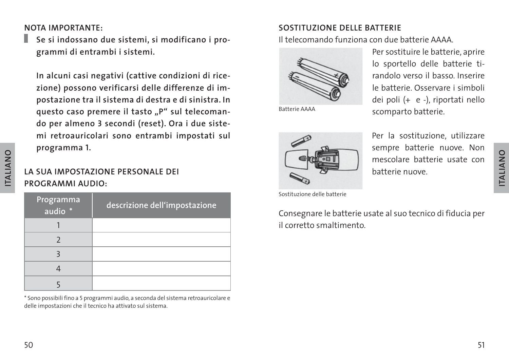#### **NOTA IMPORTANTE:**

п **Se si indossano due sistemi, si modificano i programmi di entrambi i sistemi.**

**In alcuni casi negativi (cattive condizioni di ricezione) possono verificarsi delle differenze di impostazione tra il sistema di destra e di sinistra. In**  questo caso premere il tasto "P" sul telecoman**do per almeno 3 secondi (reset). Ora i due sistemi retroauricolari sono entrambi impostati sul programma 1.**

#### **LA SUA IMPOSTAZIONE PERSONALE DEI PROGRAMMI AUDIO:**

| Programma<br>audio * | descrizione dell'impostazione |
|----------------------|-------------------------------|
|                      |                               |
|                      |                               |
|                      |                               |
|                      |                               |
|                      |                               |

\* Sono possibili fino a 5 programmi audio, a seconda del sistema retroauricolare e delle impostazioni che il tecnico ha attivato sul sistema.

#### **SOSTITUZIONE DELLE BATTERIE**

Il telecomando funziona con due batterie AAAA.



Per sostituire le batterie, aprire lo sportello delle batterie tirandolo verso il basso. Inserire le batterie. Osservare i simboli dei poli (+ e -), riportati nello Batterie AAAA Scomparto batterie.



Per la sostituzione, utilizzare sempre batterie nuove. Non mescolare batterie usate con batterie nuove.

Sostituzione delle batterie

Consegnare le batterie usate al suo tecnico di fiducia per il corretto smaltimento.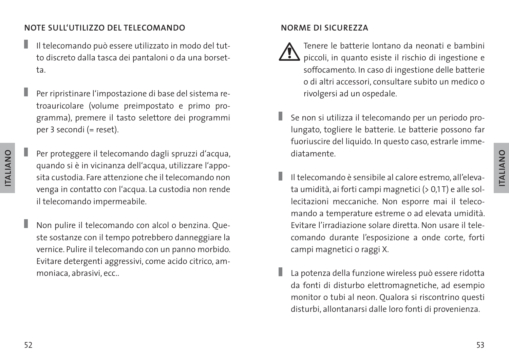#### **NOTE SULL'UTILIZZO DEL TELECOMANDO**

- ı Il telecomando può essere utilizzato in modo del tutto discreto dalla tasca dei pantaloni o da una borsetta.
- ı Per ripristinare l'impostazione di base del sistema retroauricolare (volume preimpostato e primo programma), premere il tasto selettore dei programmi per 3 secondi (= reset).
- Per proteggere il telecomando dagli spruzzi d'acqua, quando si è in vicinanza dell'acqua, utilizzare l'apposita custodia. Fare attenzione che il telecomando non venga in contatto con l'acqua. La custodia non rende il telecomando impermeabile.

Non pulire il telecomando con alcol o benzina. Queste sostanze con il tempo potrebbero danneggiare la vernice. Pulire il telecomando con un panno morbido. Evitare detergenti aggressivi, come acido citrico, ammoniaca, abrasivi, ecc..

#### **NORME DI SICUREZZA**

- Tenere le batterie lontano da neonati e bambini piccoli, in quanto esiste il rischio di ingestione e soffocamento. In caso di ingestione delle batterie o di altri accessori, consultare subito un medico o rivolgersi ad un ospedale.
- Se non si utilizza il telecomando per un periodo prolungato, togliere le batterie. Le batterie possono far fuoriuscire del liquido. In questo caso, estrarle immediatamente.
- Il telecomando è sensibile al calore estremo, all'elevata umidità, ai forti campi magnetici (> 0,1 T) e alle sollecitazioni meccaniche. Non esporre mai il telecomando a temperature estreme o ad elevata umidità. Evitare l'irradiazione solare diretta. Non usare il telecomando durante l'esposizione a onde corte, forti campi magnetici o raggi X.
- La potenza della funzione wireless può essere ridotta da fonti di disturbo elettromagnetiche, ad esempio monitor o tubi al neon. Qualora si riscontrino questi disturbi, allontanarsi dalle loro fonti di provenienza.

Г

**ITALIANO**

**ITALIANO**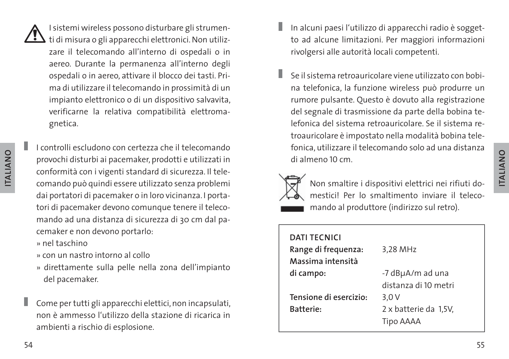I sistemi wireless possono disturbare gli strumen- $\Delta$  ti di misura o gli apparecchi elettronici. Non utilizzare il telecomando all'interno di ospedali o in aereo. Durante la permanenza all'interno degli ospedali o in aereo, attivare il blocco dei tasti. Prima di utilizzare il telecomando in prossimità di un impianto elettronico o di un dispositivo salvavita, verificarne la relativa compatibilità elettromagnetica.

I controlli escludono con certezza che il telecomando provochi disturbi ai pacemaker, prodotti e utilizzati in conformità con i vigenti standard di sicurezza. Il telecomando può quindi essere utilizzato senza problemi dai portatori di pacemaker o in loro vicinanza. I portatori di pacemaker devono comunque tenere il telecomando ad una distanza di sicurezza di 30 cm dal pacemaker e non devono portarlo:

» nel taschino

- » con un nastro intorno al collo
- » direttamente sulla pelle nella zona dell'impianto del pacemaker.
- Come per tutti gli apparecchi elettici, non incapsulati, non è ammesso l'utilizzo della stazione di ricarica in ambienti a rischio di esplosione.
- In alcuni paesi l'utilizzo di apparecchi radio è soggetto ad alcune limitazioni. Per maggiori informazioni rivolgersi alle autorità locali competenti.
- Se il sistema retroauricolare viene utilizzato con bobina telefonica, la funzione wireless può produrre un rumore pulsante. Questo è dovuto alla registrazione del segnale di trasmissione da parte della bobina telefonica del sistema retroauricolare. Se il sistema retroauricolare è impostato nella modalità bobina telefonica, utilizzare il telecomando solo ad una distanza di almeno 10 cm.



Non smaltire i dispositivi elettrici nei rifiuti domestici! Per lo smaltimento inviare il telecomando al produttore (indirizzo sul retro).

| 3,28 MHz                                   |
|--------------------------------------------|
| -7 dBµA/m ad una<br>distanza di 10 metri   |
| 3.0V<br>2 x batterie da 1,5V,<br>Tipo AAAA |
|                                            |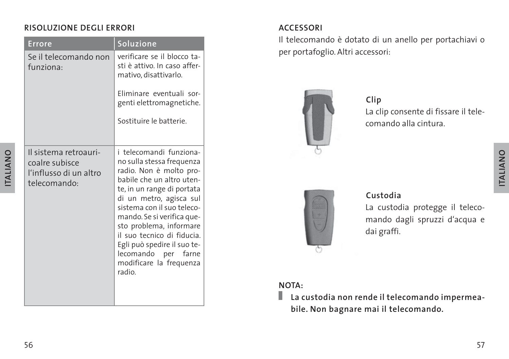#### **RISOLUZIONE DEGLI ERRORI**

| <b>Errore</b>                                                                     | Soluzione                                                                                                                                                                                                                                                                                                                                                                            |
|-----------------------------------------------------------------------------------|--------------------------------------------------------------------------------------------------------------------------------------------------------------------------------------------------------------------------------------------------------------------------------------------------------------------------------------------------------------------------------------|
| Se il telecomando non<br>funziona:                                                | verificare se il blocco ta-<br>sti è attivo. In caso affer-<br>mativo, disattivarlo.                                                                                                                                                                                                                                                                                                 |
|                                                                                   | Eliminare eventuali sor-<br>genti elettromagnetiche.                                                                                                                                                                                                                                                                                                                                 |
|                                                                                   | Sostituire le batterie.                                                                                                                                                                                                                                                                                                                                                              |
| Il sistema retroauri-<br>coalre subisce<br>l'influsso di un altro<br>telecomando: | i telecomandi funziona-<br>no sulla stessa frequenza<br>radio. Non è molto pro-<br>babile che un altro uten-<br>te, in un range di portata<br>di un metro, agisca sul<br>sistema con il suo teleco-<br>mando. Se si verifica que-<br>sto problema, informare<br>il suo tecnico di fiducia.<br>Egli può spedire il suo te-<br>lecomando per farne<br>modificare la frequenza<br>radio |

#### **ACCESSORI**

Il telecomando è dotato di un anello per portachiavi o per portafoglio. Altri accessori:



La clip consente di fissare il telecomando alla cintura. **Clip**



#### **Custodia**

La custodia protegge il telecomando dagli spruzzi d'acqua e dai graffi.

#### **NOTA:**

**La custodia non rende il telecomando impermeabile. Non bagnare mai il telecomando.**

**ITALIANO**

**ITALIANO**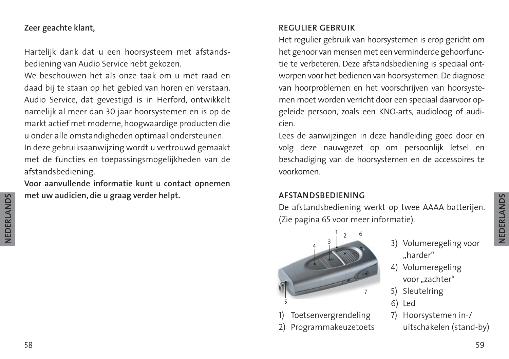#### **Zeer geachte klant,**

Hartelijk dank dat u een hoorsysteem met afstandsbediening van Audio Service hebt gekozen.

We beschouwen het als onze taak om u met raad en daad bij te staan op het gebied van horen en verstaan. Audio Service, dat gevestigd is in Herford, ontwikkelt namelijk al meer dan 30 jaar hoorsystemen en is op de markt actief met moderne, hoogwaardige producten die u onder alle omstandigheden optimaal ondersteunen. In deze gebruiksaanwijzing wordt u vertrouwd gemaakt met de functies en toepassingsmogelijkheden van de afstandsbediening.

**Voor aanvullende informatie kunt u contact opnemen met uw audicien, die u graag verder helpt.**

#### **REGULIER GEBRUIK**

Het regulier gebruik van hoorsystemen is erop gericht om het gehoor van mensen met een verminderde gehoorfunctie te verbeteren. Deze afstandsbediening is speciaal ontworpen voor het bedienen van hoorsystemen. De diagnose van hoorproblemen en het voorschrijven van hoorsystemen moet worden verricht door een speciaal daarvoor opgeleide persoon, zoals een KNO-arts, audioloog of audicien.

Lees de aanwijzingen in deze handleiding goed door en volg deze nauwgezet op om persoonlijk letsel en beschadiging van de hoorsystemen en de accessoires te voorkomen.

#### **AFSTANDSBEDIENING**

De afstandsbediening werkt op twee AAAA-batterijen. (Zie pagina 65 voor meer informatie).

> "harder" 4) Volumeregeling voor "zachter" 5) Sleutelring

7) Hoorsystemen in-/

uitschakelen (stand-by)

6) Led



**Toetsenvergrendeling** 2) Programmakeuzetoets

NEDERLANDS **NEDERLANDS**3) Volumeregeling voor

58

**NEDERLANDS**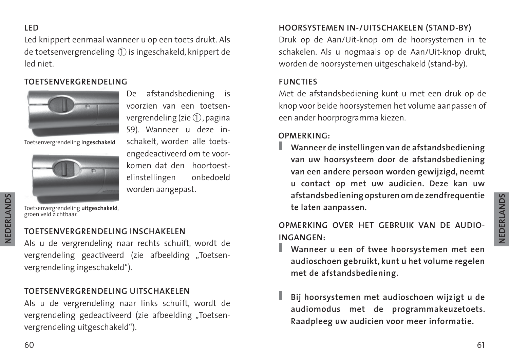Led knippert eenmaal wanneer u op een toets drukt. Als de toetsenvergrendeling  $(1)$  is ingeschakeld, knippert de led niet.

#### **TOETSENVERGRENDELING**



Toetsenvergrendeling **ingeschakeld**



De afstandsbediening is voorzien van een toetsenvergrendeling (zie 1, pagina 59). Wanneer u deze inschakelt, worden alle toetsengedeactiveerd om te voorkomen dat den hoortoestelinstellingen onbedoeld worden aangepast.

Toetsenvergrendeling **uitgeschakeld**, groen veld zichtbaar.

#### **TOETSENVERGRENDELING INSCHAKELEN**

Als u de vergrendeling naar rechts schuift, wordt de vergrendeling geactiveerd (zie afbeelding "Toetsenvergrendeling ingeschakeld").

#### **TOETSENVERGRENDELING UITSCHAKELEN**

Als u de vergrendeling naar links schuift, wordt de vergrendeling gedeactiveerd (zie afbeelding "Toetsenvergrendeling uitgeschakeld").

#### **HOORSYSTEMEN IN-/UITSCHAKELEN (STAND-BY)**

Druk op de Aan/Uit-knop om de hoorsystemen in te schakelen. Als u nogmaals op de Aan/Uit-knop drukt, worden de hoorsystemen uitgeschakeld (stand-by).

#### **FUNCTIES**

Met de afstandsbediening kunt u met een druk op de knop voor beide hoorsystemen het volume aanpassen of een ander hoorprogramma kiezen.

#### **OPMERKING:**

**Wanneer de instellingen van de afstandsbediening van uw hoorsysteem door de afstandsbediening van een andere persoon worden gewijzigd, neemt u contact op met uw audicien. Deze kan uw afstandsbediening opsturen om de zendfrequentie te laten aanpassen.**

**OPMERKING OVER HET GEBRUIK VAN DE AUDIO-INGANGEN:**

- **Wanneer u een of twee hoorsystemen met een audioschoen gebruikt, kunt u het volume regelen met de afstandsbediening.**
- **Bij hoorsystemen met audioschoen wijzigt u de audiomodus met de programmakeuzetoets. Raadpleeg uw audicien voor meer informatie.**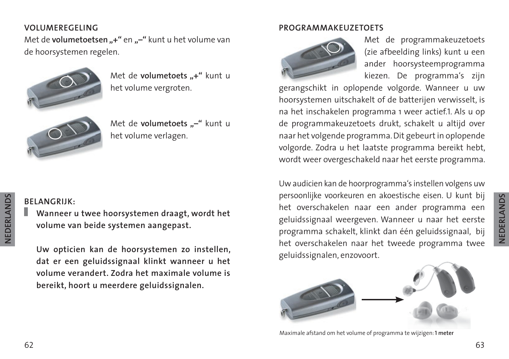#### **VOLUMEREGELING**

Met de **volumetoetsen** "+" en "-" kunt u het volume van de hoorsystemen regelen.



Met de **volumetoets** ..+" kunt u het volume vergroten.



Met de **volumetoets ..-**" kunt u het volume verlagen.

### NEDERLANDS **NEDERLANDS**

#### **BELANGRIJK:**

**Wanneer u twee hoorsystemen draagt, wordt het volume van beide systemen aangepast.**

**Uw opticien kan de hoorsystemen zo instellen, dat er een geluidssignaal klinkt wanneer u het volume verandert. Zodra het maximale volume is bereikt, hoort u meerdere geluidssignalen.**

#### **PROGRAMMAKEUZETOETS**



Met de programmakeuzetoets (zie afbeelding links) kunt u een ander hoorsysteemprogramma kiezen. De programma's zijn

gerangschikt in oplopende volgorde. Wanneer u uw hoorsystemen uitschakelt of de batterijen verwisselt, is na het inschakelen programma 1 weer actief.1. Als u op de programmakeuzetoets drukt, schakelt u altijd over naar het volgende programma. Dit gebeurt in oplopende volgorde. Zodra u het laatste programma bereikt hebt, wordt weer overgeschakeld naar het eerste programma.

Uw audicien kan de hoorprogramma's instellen volgens uw persoonlijke voorkeuren en akoestische eisen. U kunt bij het overschakelen naar een ander programma een geluidssignaal weergeven. Wanneer u naar het eerste programma schakelt, klinkt dan één geluidssignaal, bij het overschakelen naar het tweede programma twee geluidssignalen, enzovoort.



Maximale afstand om het volume of programma te wijzigen: **1 meter**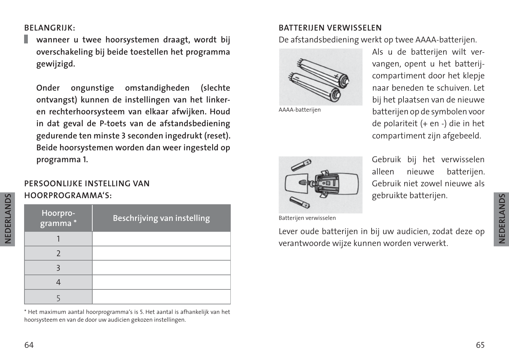#### **BELANGRIJK:**

**wanneer u twee hoorsystemen draagt, wordt bij overschakeling bij beide toestellen het programma gewijzigd.**

**Onder ongunstige omstandigheden (slechte ontvangst) kunnen de instellingen van het linkeren rechterhoorsysteem van elkaar afwijken. Houd in dat geval de P-toets van de afstandsbediening gedurende ten minste 3 seconden ingedrukt (reset). Beide hoorsystemen worden dan weer ingesteld op programma 1.**

#### **PERSOONLIJKE INSTELLING VAN HOORPROGRAMMA'S:**

| Hoorpro- | Beschrijving van instelling |
|----------|-----------------------------|
|          |                             |
|          |                             |
|          |                             |
|          |                             |
|          |                             |

\* Het maximum aantal hoorprogramma's is 5. Het aantal is afhankelijk van het hoorsysteem en van de door uw audicien gekozen instellingen.

#### **BATTERIJEN VERWISSELEN**

De afstandsbediening werkt op twee AAAA-batterijen.



AAAA-batterijen



Gebruik bij het verwisselen alleen nieuwe batterijen. Gebruik niet zowel nieuwe als gebruikte batterijen.

Batterijen verwisselen

Lever oude batterijen in bij uw audicien, zodat deze op verantwoorde wijze kunnen worden verwerkt.

**NEDERLANDS**

**VEDERLANDS**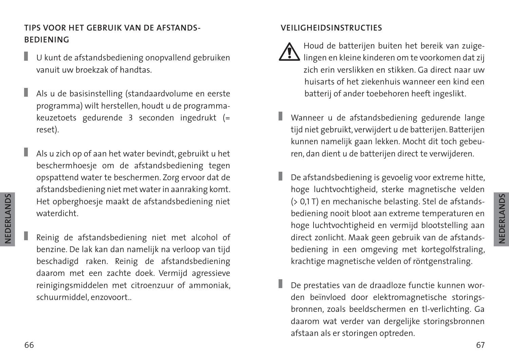#### **TIPS VOOR HET GEBRUIK VAN DE AFSTANDS-BEDIENING**

- ı U kunt de afstandsbediening onopvallend gebruiken vanuit uw broekzak of handtas.
- ı Als u de basisinstelling (standaardvolume en eerste programma) wilt herstellen, houdt u de programmakeuzetoets gedurende 3 seconden ingedrukt (= reset).
- ı Als u zich op of aan het water bevindt, gebruikt u het beschermhoesje om de afstandsbediening tegen opspattend water te beschermen. Zorg ervoor dat de afstandsbediening niet met water in aanraking komt. Het opberghoesje maakt de afstandsbediening niet waterdicht.
	- Reinig de afstandsbediening niet met alcohol of benzine. De lak kan dan namelijk na verloop van tijd beschadigd raken. Reinig de afstandsbediening daarom met een zachte doek. Vermijd agressieve reinigingsmiddelen met citroenzuur of ammoniak, schuurmiddel, enzovoort..

#### **VEILIGHEIDSINSTRUCTIES**

- Houd de batterijen buiten het bereik van zuigelingen en kleine kinderen om te voorkomen dat zij zich erin verslikken en stikken. Ga direct naar uw huisarts of het ziekenhuis wanneer een kind een batterij of ander toebehoren heeft ingeslikt.
- Wanneer u de afstandsbediening gedurende lange tijd niet gebruikt, verwijdert u de batterijen. Batterijen kunnen namelijk gaan lekken. Mocht dit toch gebeuren, dan dient u de batterijen direct te verwijderen.
- De afstandsbediening is gevoelig voor extreme hitte, hoge luchtvochtigheid, sterke magnetische velden (> 0,1 T) en mechanische belasting. Stel de afstandsbediening nooit bloot aan extreme temperaturen en hoge luchtvochtigheid en vermijd blootstelling aan direct zonlicht. Maak geen gebruik van de afstandsbediening in een omgeving met kortegolfstraling, krachtige magnetische velden of röntgenstraling.
- De prestaties van de draadloze functie kunnen worden beïnvloed door elektromagnetische storingsbronnen, zoals beeldschermen en tl-verlichting. Ga daarom wat verder van dergelijke storingsbronnen afstaan als er storingen optreden.

**NEDERLANDS**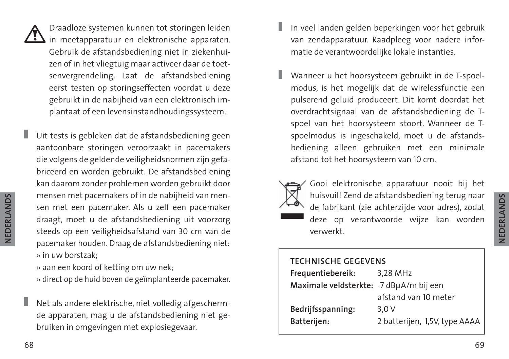

ı

Draadloze systemen kunnen tot storingen leiden  $\sum$  in meetapparatuur en elektronische apparaten. Gebruik de afstandsbediening niet in ziekenhuizen of in het vliegtuig maar activeer daar de toetsenvergrendeling. Laat de afstandsbediening eerst testen op storingseffecten voordat u deze gebruikt in de nabijheid van een elektronisch implantaat of een levensinstandhoudingssysteem.

Uit tests is gebleken dat de afstandsbediening geen aantoonbare storingen veroorzaakt in pacemakers die volgens de geldende veiligheidsnormen zijn gefabriceerd en worden gebruikt. De afstandsbediening kan daarom zonder problemen worden gebruikt door mensen met pacemakers of in de nabijheid van mensen met een pacemaker. Als u zelf een pacemaker draagt, moet u de afstandsbediening uit voorzorg steeds op een veiligheidsafstand van 30 cm van de pacemaker houden. Draag de afstandsbediening niet: » in uw borstzak;

» aan een koord of ketting om uw nek;

» direct op de huid boven de geïmplanteerde pacemaker.

ı Net als andere elektrische, niet volledig afgeschermde apparaten, mag u de afstandsbediening niet gebruiken in omgevingen met explosiegevaar.

- In veel landen gelden beperkingen voor het gebruik van zendapparatuur. Raadpleeg voor nadere informatie de verantwoordelijke lokale instanties.
- Wanneer u het hoorsysteem gebruikt in de T-spoelmodus, is het mogelijk dat de wirelessfunctie een pulserend geluid produceert. Dit komt doordat het overdrachtsignaal van de afstandsbediening de Tspoel van het hoorsysteem stoort. Wanneer de Tspoelmodus is ingeschakeld, moet u de afstandsbediening alleen gebruiken met een minimale afstand tot het hoorsysteem van 10 cm.
- 

Gooi elektronische apparatuur nooit bij het huisvuil! Zend de afstandsbediening terug naar de fabrikant (zie achterzijde voor adres), zodat deze op verantwoorde wijze kan worden verwerkt.

#### **TECHNISCHE GEGEVENS Frequentiebereik:** 3,28 MHz **Maximale veldsterkte:** -7 dBµA/m bij een afstand van 10 meter **Bedrijfsspanning:** 3,0 V **Batterijen:** 2 batterijen, 1,5V, type AAAA

**NEDERLANDS**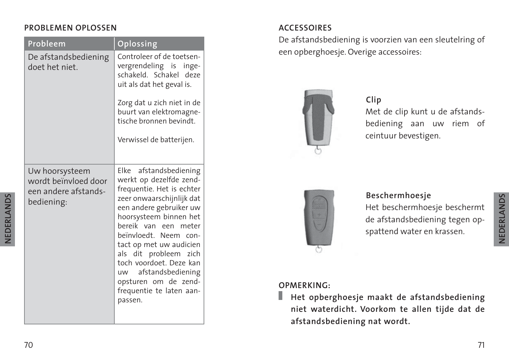#### **PROBLEMEN OPLOSSEN**

| Probleem                                                                     | <b>Oplossing</b>                                                                                                                                                                                                                                                                                                                                                                        |
|------------------------------------------------------------------------------|-----------------------------------------------------------------------------------------------------------------------------------------------------------------------------------------------------------------------------------------------------------------------------------------------------------------------------------------------------------------------------------------|
| De afstandsbediening<br>doet het niet                                        | Controleer of de toetsen-<br>vergrendeling is inge-<br>schakeld. Schakel deze<br>uit als dat het geval is.<br>Zorg dat u zich niet in de<br>buurt van elektromagne-<br>tische bronnen bevindt.<br>Verwissel de batterijen.                                                                                                                                                              |
| Uw hoorsysteem<br>wordt beïnvloed door<br>een andere afstands-<br>bediening: | Elke afstandsbediening<br>werkt op dezelfde zend-<br>frequentie. Het is echter<br>zeer onwaarschijnlijk dat<br>een andere gebruiker uw<br>hoorsysteem binnen het<br>bereik van een meter<br>beïnvloedt. Neem con-<br>tact op met uw audicien<br>als dit probleem zich<br>toch voordoet. Deze kan<br>uw afstandsbediening<br>opsturen om de zend-<br>frequentie te laten aan-<br>passen. |

#### **ACCESSOIRES**

De afstandsbediening is voorzien van een sleutelring of een opberghoesje. Overige accessoires:



#### **Clip**

Met de clip kunt u de afstandsbediening aan uw riem of ceintuur bevestigen.



#### **Beschermhoesje**

Het beschermhoesje beschermt de afstandsbediening tegen opspattend water en krassen.

#### **OPMERKING:**

Ш **Het opberghoesje maakt de afstandsbediening niet waterdicht. Voorkom te allen tijde dat de afstandsbediening nat wordt.**

**NEDERLANDS**